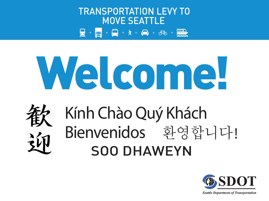

# Welcome!



# Bienvenidos 환영합니다! SOO DHAWEYN Kính Chào Quý Khách



**Seattle Department of Transportation**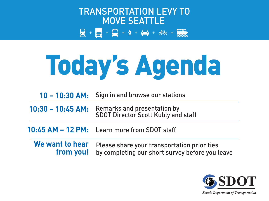

# Today's Agenda

**10 – 10:30 AM:** Sign in and browse our stations

**10:30 – 10:45 AM:** Remarks and presentation by SDOT Director Scott Kubly and staff

Learn more from SDOT staff **10:45 AM – 12 PM:**

Please share your transportation priorities by completing our short survey before you leave **We want to hear from you!**

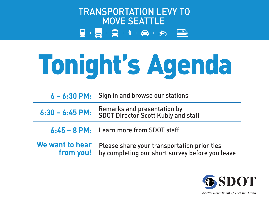

# Tonight's Agenda

|  | $6 - 6:30$ PM: Sign in and browse our stations |
|--|------------------------------------------------|
|--|------------------------------------------------|

**6:30 – 6:45 PM:** Remarks and presentation by SDOT Director Scott Kubly and staff

Learn more from SDOT staff **6:45 – 8 PM:**

Please share your transportation priorities by completing our short survey before you leave **We want to hear from you!**

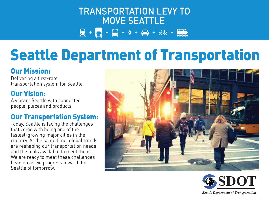# **TRANSPORTATION LEVY TO MOVE SEATTLE**  $\frac{1}{2} + \frac{1}{2} + \frac{1}{2} + \frac{1}{2} + \frac{1}{2} + \frac{1}{2} + \frac{1}{2} + \frac{1}{2} + \frac{1}{2} + \frac{1}{2} + \frac{1}{2} + \frac{1}{2} + \frac{1}{2} + \frac{1}{2} + \frac{1}{2} + \frac{1}{2} + \frac{1}{2} + \frac{1}{2} + \frac{1}{2} + \frac{1}{2} + \frac{1}{2} + \frac{1}{2} + \frac{1}{2} + \frac{1}{2} + \frac{1}{2} + \frac{1}{2} + \frac{1}{2} + \frac{1$

# Seattle Department of Transportation

## Our Mission:

Delivering a first-rate transportation system for Seattle

## Our Vision:

A vibrant Seattle with connected people, places and products

## Our Transportation System:

Today, Seattle is facing the challenges that come with being one of the fastest-growing major cities in the country. At the same time, global trends are reshaping our transportation needs and the tools available to meet them. We are ready to meet these challenges head on as we progress toward the Seattle of tomorrow.





**Seattle Department of Transportation**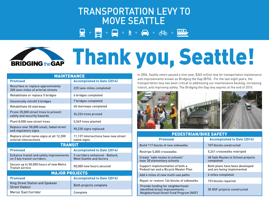## **TRANSPORTATION LEVY TO MOVE SEATTLE**

 $+$  - +  $\frac{1}{2}$  +  $\frac{1}{2}$  +  $\frac{1}{2}$  +  $\frac{1}{2}$  +  $\frac{1}{2}$  +  $\frac{1}{2}$  +  $\frac{1}{2}$ 



# BRIDGING the Grand Thank you, Seattle!

| <b>MAINTENANCE</b>                                                       |                                                                   |
|--------------------------------------------------------------------------|-------------------------------------------------------------------|
| <b>Promised</b>                                                          | <b>Accomplished to Date (2014)</b>                                |
| Resurface or replace approximately<br>200 lane-miles of arterial streets | 225 lane-miles completed                                          |
| Rehabilitate or replace 5 bridges                                        | 6 bridges completed                                               |
| <b>Seismically retrofit 5 bridges</b>                                    | 7 bridges completed                                               |
| Rehabilitate 40 stairways                                                | 40 stairways completed                                            |
| Prune 25,000 street trees to prevent<br>safety and security hazards      | 26,226 trees pruned                                               |
| Plant 8,000 new street trees                                             | 5,569 trees planted                                               |
| Replace over 50,000 small, faded street<br>and regulatory signs          | 90,230 signs replaced                                             |
| Replace street name signs at all 12,300<br>arterial intersections        | 11,137 intersections have new street<br>name signs                |
| <b>TRANSIT</b>                                                           |                                                                   |
| <b>Promised</b>                                                          | <b>Accomplished to Date (2014)</b>                                |
| Enhance transit and safety improvements<br>on 3 key transit corridors    | 3 corridors enhanced - Ballard,<br><b>West Seattle and Aurora</b> |
| Secure up to 50,000 hours of new Metro<br><b>Transit service</b>         | 50,000 new hours secured                                          |
| <b>MAJOR PROJECTS</b>                                                    |                                                                   |
| <b>Promised</b>                                                          | <b>Accomplished to Date (2014)</b>                                |
| <b>King Street Station and Spokane</b><br><b>Street Viaduct</b>          | Both projects complete                                            |
| <b>Mercer East Corridor</b>                                              | Complete                                                          |

In 2006, Seattle voters passed a nine-year, \$365 million levy for transportation maintenance and improvements known as Bridging the Gap (BTG). For the last eight years, the transportation levy has been critical to addressing our maintenance backlog, increasing transit, and improving safety. The Bridging the Gap levy expires at the end of 2015.



| <b>PEDESTRIAN/BIKE SAFETY</b>                                                                                          |                                                             |  |
|------------------------------------------------------------------------------------------------------------------------|-------------------------------------------------------------|--|
| <b>Promised</b>                                                                                                        | <b>Accomplished to Date (2014)</b>                          |  |
| <b>Build 117 blocks of new sidewalks</b>                                                                               | 107 blocks constructed                                      |  |
| Restripe 5,000 crosswalks                                                                                              | 5,241 crosswalks restriped                                  |  |
| Create "safe routes to schools"<br>near 30 elementary schools                                                          | 48 Safe Routes to School projects<br>completed              |  |
| Support implementation of both a<br>Pedestrian and a Bicycle Master Plan                                               | Both plans have been developed<br>and are being implemented |  |
| Add 4 miles of new multi-use paths                                                                                     | 4 miles completed                                           |  |
| Repair or restore 144 blocks of sidewalks                                                                              | 193 blocks repaired                                         |  |
| Provide funding for neighborhood-<br>identified street improvements -<br><b>Neighborhood Street Fund Program (NSF)</b> | 30 NSF projects constructed                                 |  |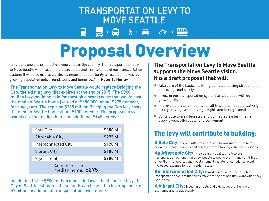## **TRANSPORTATION LEVY TO MOVE SEATTLE**  $+\dot{\pi} + \dot{\theta} + \dot{\phi} + \dot{m}$

# Proposal Overview

"Seattle is one of the fastest growing cities in the country. The Transportation Levy to Move Seattle will invest in the basic safety and maintenance of our transportation system. It will also give us a critically important opportunity to reshape the way our growing population gets around, today and tomorrow." **— Mayor Ed Murray**

The Transportation Levy to Move Seattle would replace Bridging the Gap, the existing levy that expires at the end of 2015. The \$900 million levy would be paid for through a property tax that would cost the median Seattle home (valued at \$450,000) about \$275 per year, for nine years. The expiring \$365 million Bridging the Gap levy costs the median Seattle home about \$130 per year. The proposed levy would cost the median home an additional \$145 per year.

| Safe City:                           | \$350 M |
|--------------------------------------|---------|
| Affordable City:                     | \$275 M |
| Interconnected City:                 | \$170 M |
| <b>Vibrant City:</b>                 | \$105 M |
| 9-year total:                        | \$900 M |
| Annual cost to<br>median home: \$275 |         |

In addition to the \$900 million generated over the life of the levy, the City of Seattle estimates these funds can be used to leverage nearly \$2 billion in additional transportation investments.

#### **The Transportation Levy to Move Seattle supports the Move Seattle vision. It is a draft proposal that will:**

- Take care of the basics by filling potholes, paving streets, and improving road safety
- **Invest in our transportation system to keep pace with our** growing city
- $\bullet$  Improve safety and mobility for all travelers  $-$  people walking, biking, driving cars, moving freight, and taking transit
- Contribute to an integrated and connected system that is easy-to-use, affordable, and convenient

## The levy will contribute to building:

A Safe City: Keep Seattle travelers safe by working to eliminate serious and fatal crashes and seismically reinforcing vulnerable bridges.

An Affordable City: Provide high-quality and low-cost transportation options that allow people to spend their money on things other than transportation. Invest in smart maintenance today to avoid increased expense for our residents later.

An Interconnected City: Provide an easy-to-use, reliable transportation system that gives travelers the options they want when they want them.

A Vibrant City: Invest in streets and sidewalks that hum with economic and social activity.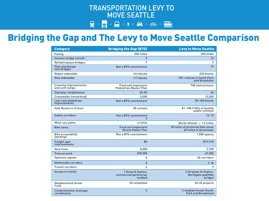### **TRANSPORTATION LEVY TO MOVE SEATTLE**

### $\frac{1}{24} + \frac{1}{11} + \frac{1}{11} + \frac{1}{11} + \frac{1}{11} + \frac{1}{11} + \frac{1}{11} + \frac{1}{11} + \frac{1}{11} + \frac{1}{11} + \frac{1}{11} + \frac{1}{11} + \frac{1}{11} + \frac{1}{11} + \frac{1}{11} + \frac{1}{11} + \frac{1}{11} + \frac{1}{11} + \frac{1}{11} + \frac{1}{11} + \frac{1}{11} + \frac{1}{11} + \frac{1}{11} + \frac{1}{11} + \frac{1$

## Bridging the Gap and The Levy to Move Seattle Comparison

| <b>Category</b>                                | <b>Bridging the Gap (BTG)</b>                              | <b>Levy to Move Seattle</b>                               |
|------------------------------------------------|------------------------------------------------------------|-----------------------------------------------------------|
| Paving                                         | 200 miles                                                  | 250 miles                                                 |
| Seismic bridge retrofit                        | 5                                                          | 16                                                        |
| Rehab/replace bridges                          | 5                                                          | 2                                                         |
| Plan and design<br>new bridges                 | Not a BTG commitment                                       | 10                                                        |
| Repair sidewalks                               | 144 blocks                                                 | 225 blocks                                                |
| New sidewalks                                  | 117 blocks                                                 | 100 + blocks in South Park<br>and Broadview               |
| <b>Crossing improvements</b><br>and curb ramps | <b>Fund and implement</b><br><b>Pedestrian Master Plan</b> | 750 intersections                                         |
| <b>Stairway rehabilitation</b>                 | $40 - 50$                                                  | 45                                                        |
| Crosswalks (remarking)                         | 5.000                                                      | 12,000                                                    |
| Low-cost pedestrian<br>improvements            | Not a BTG commitment                                       | 50-100 blocks                                             |
| <b>Safe Routes to School</b>                   | 30 schools                                                 | 81-108 (100% of Seattle<br>public schools)                |
| <b>Safety corridors</b>                        | <b>Not a BTG commitment</b><br>3                           | $12 - 15$                                                 |
| Multi-use paths                                | 4 miles                                                    | Burke Gilman - 1.5 miles                                  |
| <b>Bike lanes</b>                              | <b>Fund and implement</b><br><b>Bicycle Master Plan</b>    | 50 miles of protected bike lanes<br>60 miles of greenways |
| <b>Bike accessibility</b><br>(parking)         | Not a BTG commitment                                       | $1,500$ spaces                                            |
| <b>Freight spot</b><br><i>improvements</i>     | \$0                                                        | \$13.5 M                                                  |
| New trees                                      | 8,000                                                      | 2,700                                                     |
| <b>Trees pruned</b>                            | 258,000                                                    | 27,700                                                    |
| Optimize signals                               | 0                                                          | 45 corridors                                              |
| <b>Multimodal corridors</b>                    | $\mathbf{0}$                                               | $7 - 10$                                                  |
| <b>Transit corridors</b>                       | 3                                                          | 7                                                         |
| <b>Access to transit</b>                       | 1 (King St Station,<br>commercial parking tax<br>funded)   | 2 (Graham St Station,<br>Northgate ped/bike<br>bridge)    |
| Neighborhood Street<br>Fund                    | 30 completed                                               | 20-35 projects                                            |
| <b>Comprehensive drainage</b><br>coordination  | 0                                                          | 2 neighborhoods (South<br><b>Park and Broadviewl</b>      |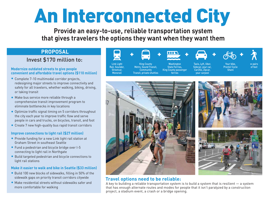# An Interconnected City

**Provide an easy-to-use, reliable transportation system that gives travelers the options they want when they want them**

#### **PROPOSAL**

#### Invest \$170 million to:

#### **Modernize outdated streets to give people convenient and affordable travel options (\$110 million)**

- Complete 7-10 multimodal corridor projects, redesigning major streets to improve connectivity and safety for all travelers, whether walking, biking, driving, or taking transit
- Make bus service more reliable through a comprehensive transit improvement program to eliminate bottlenecks in key locations
- Optimize traffic signal timing on 5 corridors throughout the city each year to improve traffic flow and serve people in cars and trucks, on bicycles, transit, and foot
- Create 7 new high-quality bus rapid transit corridors

#### **Improve connections to light rail (\$27 million)**

- **Provide funding for a new Link light rail station at** Graham Street in southeast Seattle
- Fund a pedestrian and bicycle bridge over I-5 connecting to light rail in Northgate
- Build targeted pedestrian and bicycle connections to light rail stations

#### **Make it easier to walk and bike in Seattle (\$33 million)**

- Build 100 new blocks of sidewalks, filling in 50% of the sidewalk gaps on priority transit corridors citywide
- Make residential streets without sidewalks safer and more comfortable for walking





#### **Travel options need to be reliable:**

A key to building a reliable transportation system is to build a system that is resilient — a system that has enough alternate routes and modes for people that it isn't paralyzed by a construction project, a stadium event, a crash or a bridge opening.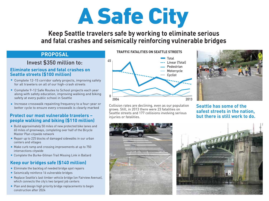

### **Keep Seattle travelers safe by working to eliminate serious and fatal crashes and seismically reinforcing vulnerable bridges**

#### **PROPOSAL**

#### Invest \$350 million to:

#### **Eliminate serious and fatal crashes on Seattle streets (\$100 million)**

- Complete 12-15 corridor safety projects, improving safety for all travelers on all of our high-crash streets
- Complete 9-12 Safe Routes to School projects each year along with safety education, improving walking and biking safety at every public school in Seattle
- **Increase crosswalk repainting frequency to a four-year or** better cycle to ensure every crosswalk is clearly marked

#### **Protect our most vulnerable travelers – people walking and biking (\$110 million)**

- Build approximately 50 miles of new protected bike lanes and 60 miles of greenways, completing over half of the Bicycle Master Plan citywide network
- Repair up to 225 blocks of damaged sidewalks in our urban centers and villages
- Make curb ramp and crossing improvements at up to 750 intersections citywide
- Complete the Burke-Gilman Trail Missing Link in Ballard

#### **Keep our bridges safe (\$140 million)**

- Eliminate the backlog of needed bridge spot repairs
- Seismically reinforce 16 vulnerable bridges
- Replace Seattle's last timber vehicle bridge (on Fairview Avenue), which connects the city's two largest job centers
- Plan and design high priority bridge replacements to begin construction after 2024

#### **TRAFFIC FATALITIES ON SEATTLE STREETS**



Collision rates are declining, even as our population grows. Still, in 2013 there were 23 fatalities on Seattle streets and 177 collisions involving serious injuries or fatalities.



#### **Seattle has some of the safest streets in the nation, but there is still work to do.**



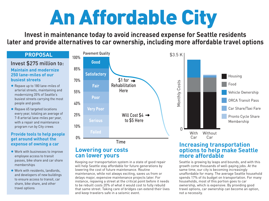# An Affordable City

**Invest in maintenance today to avoid increased expense for Seattle residents later and provide alternatives to car ownership, including more affordable travel options**

#### **PROPOSAL**

#### **Maintain and modernize 250 lane-miles of our** Invest \$275 million to:

**busiest streets**

- Repave up to 180 lane-miles of arterial streets, maintaining and modernizing 35% of Seattle's busiest streets carrying the most people and goods
- Repave 65 targeted locations every year, totaling an average of 7-8 arterial lane-miles per year, with a repair and maintenance program run by City crews

#### **Provide tools to help people get around without the expense of owning a car**

- Work with businesses to improve employee access to transit passes, bike share and car share memberships
- Work with residents, landlords, and developers of new buildings to ensure access to transit, car share, bike share, and other travel options



#### **Lowering our costs can lower yours**

Keeping our transportation system in a state of good repair will help Seattle stay affordable for future generations by lowering the cost of future maintenance. Routine maintenance, while not always exciting, saves us from or delays major, expensive maintenance projects later. For instance, repaving a street at the critical point before it needs to be rebuilt costs 20% of what it would cost to fully rebuild that same street. Taking care of bridges can extend their lives and keep travelers safe in a seismic event.

#### **Increasing transportation options to help make Seattle more affordable**

Seattle is growing by leaps and bounds, and with this growth come thousands of well-paying jobs. At the same time, our city is becoming increasingly unaffordable for many. The average Seattle household spends 17% of its budget on transportation. For many households, most of this portion goes to car ownership, which is expensive. By providing good travel options, car ownership can become an option, not a necessity.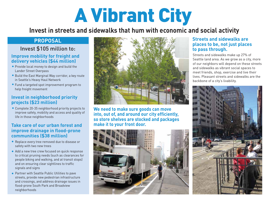# A Vibrant City

**Invest in streets and sidewalks that hum with economic and social activity**

#### **PROPOSAL**

#### Invest \$105 million to:

#### **Improve mobility for freight and delivery vehicles (\$44 million)**

- **Provide local money to design and build the** Lander Street Overpass
- **Build the East Marginal Way corridor, a key route** in Seattle's Heavy Haul Network
- Fund a targeted spot improvement program to help freight movement

#### **Invest in neighborhood priority projects (\$23 million)**

Complete 20-35 neighborhood priority projects to improve safety, mobility and access and quality of life in those neighborhoods

#### **Take care of our urban forest and improve drainage in flood-prone communities (\$38 million)**

- Replace every tree removed due to disease or safety with two new trees
- Add a new tree crew focused on quick response to critical pruning needs (such as clearances for people biking and walking, and at transit stops) and on ensuring clear sightlines to traffic signals and signs
- **Partner with Seattle Public Utilities to pave** streets, provide new pedestrian infrastructure and crossings, and address drainage issues in flood-prone South Park and Broadview neighborhoods



**We need to make sure goods can move into, out of, and around our city efficiently, so store shelves are stocked and packages make it to your front door.**



#### **Streets and sidewalks are places to be, not just places to pass through.**

Streets and sidewalks make up 27% of Seattle land area. As we grow as a city, more of our neighbors will depend on these streets and sidewalks as vibrant social spaces to meet friends, shop, exercise and live their lives. Pleasant streets and sidewalks are the backbone of a city's livability.

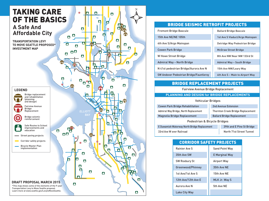

#### BRIDGE SEISMIC RETROFIT PROJECTS

| <b>Fremont Bridge Bascule</b>                  | <b>Ballard Bridge Bascule</b>   |
|------------------------------------------------|---------------------------------|
| 15th Ave NE/NE 105th                           | 1st Ave S Viaduct/Argo Mainspan |
| 4th Ave S/Argo Mainspan                        | Delridge Way Pedestrian Bridge  |
| <b>Cowen Park Bridge</b>                       | <b>McGraw Street Bridge</b>     |
| W Howe Street Bridge                           | 8th Ave NW Near NW 133rd St     |
| Admiral Way - North Bridge                     | Admiral Way - South Bridge      |
| N 41st pedestrian Bridge/Aurora Ave N          | 15th Ave NW/Leary Way           |
| <b>SW Andover Pedestrian Bridge/Fauntleroy</b> | 4th Ave S - Main to Airport Way |
|                                                |                                 |

#### BRIDGE REPLACEMENT PROJECTS

Fairview Avenue Bridge Replacement

#### **PLANNING AND DESIGN for BRIDGE REPLACEMENTS**

| <b>Vehicular Bridges</b>                     |                                          |  |
|----------------------------------------------|------------------------------------------|--|
| <b>Cowen Park Bridge Rehabilitation</b>      | 2nd Avenue Extension                     |  |
| Admiral Way Bridge, North Replacement        | <b>Thornton Creek Bridge Replacement</b> |  |
| Magnolia Bridge Replacement                  | <b>Ballard Bridge Replacement</b>        |  |
| Pedestrian & Bicycle Bridges                 |                                          |  |
| E Duwamish Waterway North Bridge Replacement | 39th and E Pine St Bridge                |  |
| 33rd Ave W over Railroad                     | North 71st Street Tunnel                 |  |

#### CORRIDOR SAFETY PROJECTS

| <b>Rainier Ave S</b> | <b>Sand Point Way</b> |
|----------------------|-----------------------|
| 35th Ave SW          | <b>E</b> Marginal Way |
| <b>SW Roxbury St</b> | Airport Way           |
| Greenwood/Phinney    | 35th Ave NE           |
| 1st Ave/1st Ave S    | 15th Ave NE           |
| 12th Ave/12th Ave E  | MLK Jr. Way S         |
| Aurora Ave N         | 5th Ave NE            |
| Lake City Way        |                       |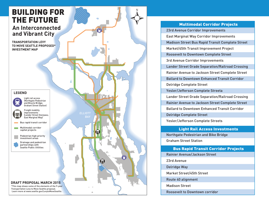

#### Multimodal Corridor Projects

23rd Avenue Corridor Improvements East Marginal Way Corridor Improvements Madison Street Bus Rapid Transit Complete Street Market/45th Transit Improvement Project Roosevelt to Downtown Complete Street 3rd Avenue Corridor Improvements Lander Street Grade Separation/Railroad Crossing Rainier Avenue to Jackson Street Complete Street Ballard to Downtown Enhanced Transit Corridor Delridge Complete Street Yesler/Jefferson Complete Streeta Lander Street Grade Separation/Railroad Crossing Rainier Avenue to Jackson Street Complete Street Ballard to Downtown Enhanced Transit Corridor Delridge Complete Street

Yesler/Jefferson Complete Streets

Light Rail Access Investments

Northgate Pedestrian and Bike Bridge Graham Street Station

#### Bus Rapid Transit Corridor Projects

Rainier Avenue/Jackson Street

23rd Avenue

Delridge Way

Market Street/45th Street

Route 40 alignment

Madison Street

Roosevelt to Downtown corridor